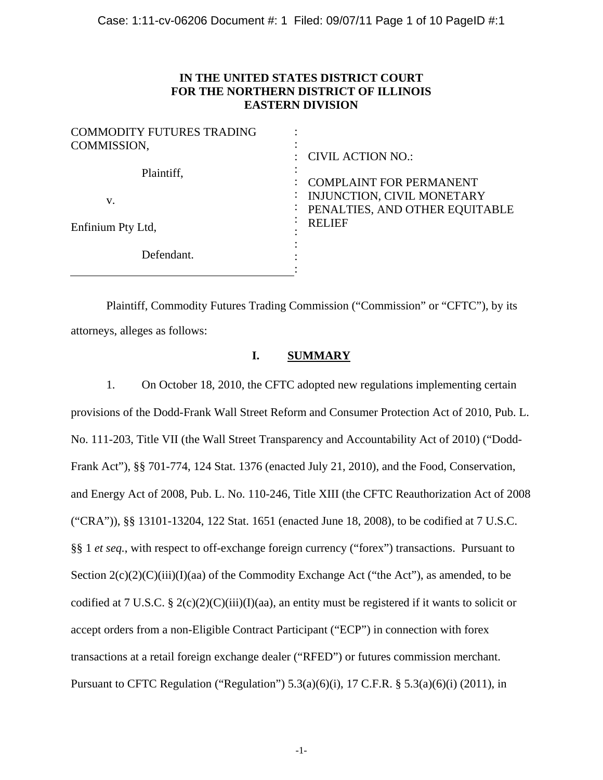# **IN THE UNITED STATES DISTRICT COURT FOR THE NORTHERN DISTRICT OF ILLINOIS EASTERN DIVISION**

| <b>COMMODITY FUTURES TRADING</b><br>COMMISSION, | : CIVIL ACTION NO.:                                                                            |
|-------------------------------------------------|------------------------------------------------------------------------------------------------|
| Plaintiff,<br>v.                                | <b>COMPLAINT FOR PERMANENT</b><br>INJUNCTION, CIVIL MONETARY<br>PENALTIES, AND OTHER EQUITABLE |
| Enfinium Pty Ltd,                               | <b>RELIEF</b>                                                                                  |
| Defendant.                                      |                                                                                                |

 Plaintiff, Commodity Futures Trading Commission ("Commission" or "CFTC"), by its attorneys, alleges as follows:

## **I. SUMMARY**

1. On October 18, 2010, the CFTC adopted new regulations implementing certain provisions of the Dodd-Frank Wall Street Reform and Consumer Protection Act of 2010, Pub. L. No. 111-203, Title VII (the Wall Street Transparency and Accountability Act of 2010) ("Dodd-Frank Act"), §§ 701-774, 124 Stat. 1376 (enacted July 21, 2010), and the Food, Conservation, and Energy Act of 2008, Pub. L. No. 110-246, Title XIII (the CFTC Reauthorization Act of 2008 ("CRA")), §§ 13101-13204, 122 Stat. 1651 (enacted June 18, 2008), to be codified at 7 U.S.C. §§ 1 *et seq.*, with respect to off-exchange foreign currency ("forex") transactions. Pursuant to Section  $2(c)(2)(C)(iii)(I)(aa)$  of the Commodity Exchange Act ("the Act"), as amended, to be codified at 7 U.S.C. § 2(c)(2)(C)(iii)(I)(aa), an entity must be registered if it wants to solicit or accept orders from a non-Eligible Contract Participant ("ECP") in connection with forex transactions at a retail foreign exchange dealer ("RFED") or futures commission merchant. Pursuant to CFTC Regulation ("Regulation")  $5.3(a)(6)(i)$ ,  $17$  C.F.R. §  $5.3(a)(6)(i)$  (2011), in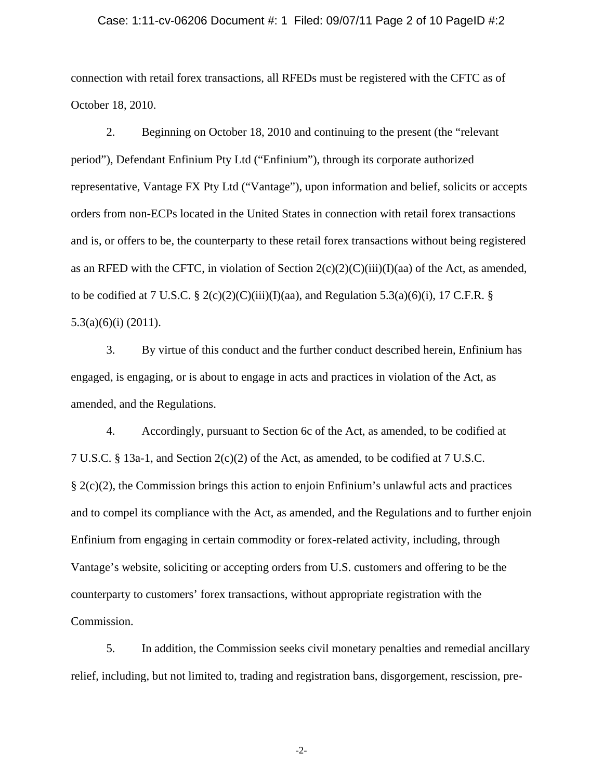#### Case: 1:11-cv-06206 Document #: 1 Filed: 09/07/11 Page 2 of 10 PageID #:2

connection with retail forex transactions, all RFEDs must be registered with the CFTC as of October 18, 2010.

2. Beginning on October 18, 2010 and continuing to the present (the "relevant period"), Defendant Enfinium Pty Ltd ("Enfinium"), through its corporate authorized representative, Vantage FX Pty Ltd ("Vantage"), upon information and belief, solicits or accepts orders from non-ECPs located in the United States in connection with retail forex transactions and is, or offers to be, the counterparty to these retail forex transactions without being registered as an RFED with the CFTC, in violation of Section  $2(c)(2)(C)(iii)(I)(aa)$  of the Act, as amended, to be codified at 7 U.S.C.  $\S$  2(c)(2)(C)(iii)(I)(aa), and Regulation 5.3(a)(6)(i), 17 C.F.R.  $\S$ 5.3(a)(6)(i) (2011).

3. By virtue of this conduct and the further conduct described herein, Enfinium has engaged, is engaging, or is about to engage in acts and practices in violation of the Act, as amended, and the Regulations.

4. Accordingly, pursuant to Section 6c of the Act, as amended, to be codified at 7 U.S.C. § 13a-1, and Section 2(c)(2) of the Act, as amended, to be codified at 7 U.S.C. § 2(c)(2), the Commission brings this action to enjoin Enfinium's unlawful acts and practices and to compel its compliance with the Act, as amended, and the Regulations and to further enjoin Enfinium from engaging in certain commodity or forex-related activity, including, through Vantage's website, soliciting or accepting orders from U.S. customers and offering to be the counterparty to customers' forex transactions, without appropriate registration with the Commission.

5. In addition, the Commission seeks civil monetary penalties and remedial ancillary relief, including, but not limited to, trading and registration bans, disgorgement, rescission, pre-

-2-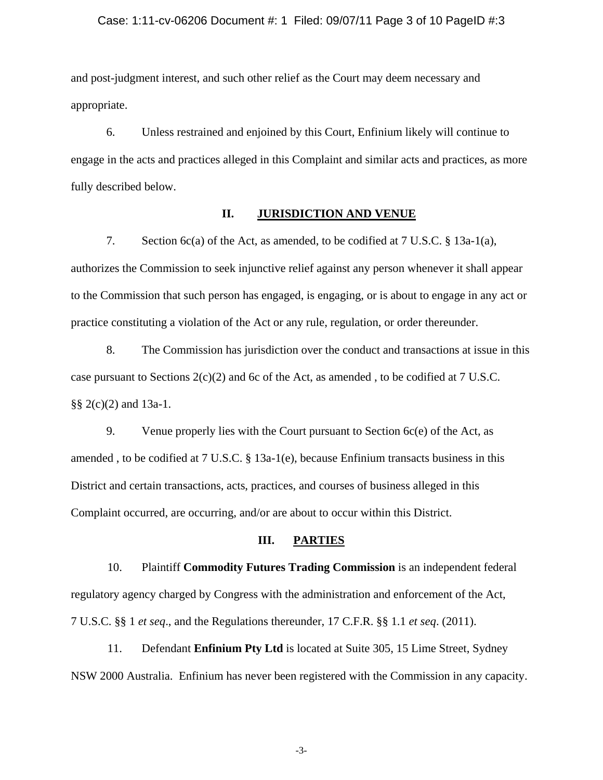#### Case: 1:11-cv-06206 Document #: 1 Filed: 09/07/11 Page 3 of 10 PageID #:3

and post-judgment interest, and such other relief as the Court may deem necessary and appropriate.

6. Unless restrained and enjoined by this Court, Enfinium likely will continue to engage in the acts and practices alleged in this Complaint and similar acts and practices, as more fully described below.

#### **II. JURISDICTION AND VENUE**

7. Section 6c(a) of the Act, as amended, to be codified at 7 U.S.C. § 13a-1(a), authorizes the Commission to seek injunctive relief against any person whenever it shall appear to the Commission that such person has engaged, is engaging, or is about to engage in any act or practice constituting a violation of the Act or any rule, regulation, or order thereunder.

8. The Commission has jurisdiction over the conduct and transactions at issue in this case pursuant to Sections  $2(c)(2)$  and 6c of the Act, as amended, to be codified at 7 U.S.C. §§ 2(c)(2) and 13a-1.

9. Venue properly lies with the Court pursuant to Section 6c(e) of the Act, as amended , to be codified at 7 U.S.C. § 13a-1(e), because Enfinium transacts business in this District and certain transactions, acts, practices, and courses of business alleged in this Complaint occurred, are occurring, and/or are about to occur within this District.

### **III. PARTIES**

10. Plaintiff **Commodity Futures Trading Commission** is an independent federal regulatory agency charged by Congress with the administration and enforcement of the Act, 7 U.S.C. §§ 1 *et seq*., and the Regulations thereunder, 17 C.F.R. §§ 1.1 *et seq*. (2011).

11. Defendant **Enfinium Pty Ltd** is located at Suite 305, 15 Lime Street, Sydney NSW 2000 Australia. Enfinium has never been registered with the Commission in any capacity.

-3-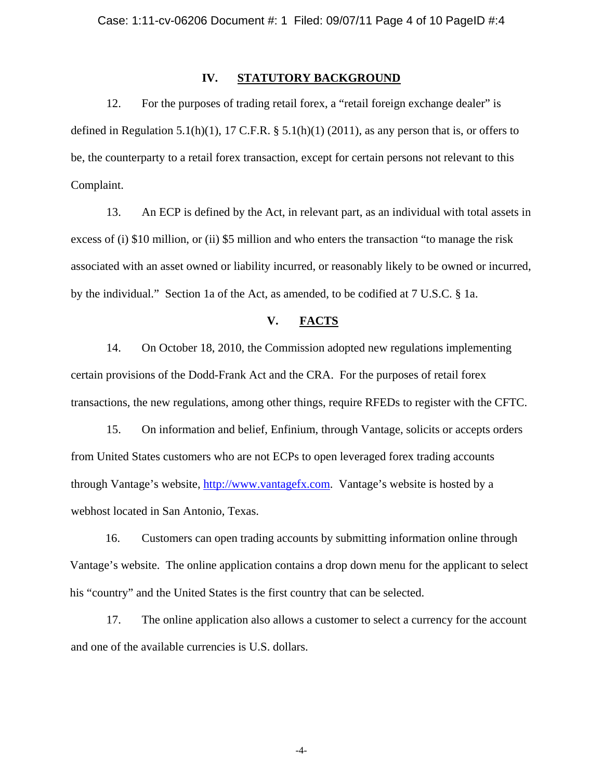## **IV. STATUTORY BACKGROUND**

12. For the purposes of trading retail forex, a "retail foreign exchange dealer" is defined in Regulation 5.1(h)(1), 17 C.F.R.  $\S$  5.1(h)(1) (2011), as any person that is, or offers to be, the counterparty to a retail forex transaction, except for certain persons not relevant to this Complaint.

13. An ECP is defined by the Act, in relevant part, as an individual with total assets in excess of (i) \$10 million, or (ii) \$5 million and who enters the transaction "to manage the risk associated with an asset owned or liability incurred, or reasonably likely to be owned or incurred, by the individual." Section 1a of the Act, as amended, to be codified at 7 U.S.C. § 1a.

## **V. FACTS**

14. On October 18, 2010, the Commission adopted new regulations implementing certain provisions of the Dodd-Frank Act and the CRA. For the purposes of retail forex transactions, the new regulations, among other things, require RFEDs to register with the CFTC.

15. On information and belief, Enfinium, through Vantage, solicits or accepts orders from United States customers who are not ECPs to open leveraged forex trading accounts through Vantage's website, http://www.vantagefx.com. Vantage's website is hosted by a webhost located in San Antonio, Texas.

16. Customers can open trading accounts by submitting information online through Vantage's website. The online application contains a drop down menu for the applicant to select his "country" and the United States is the first country that can be selected.

17. The online application also allows a customer to select a currency for the account and one of the available currencies is U.S. dollars.

-4-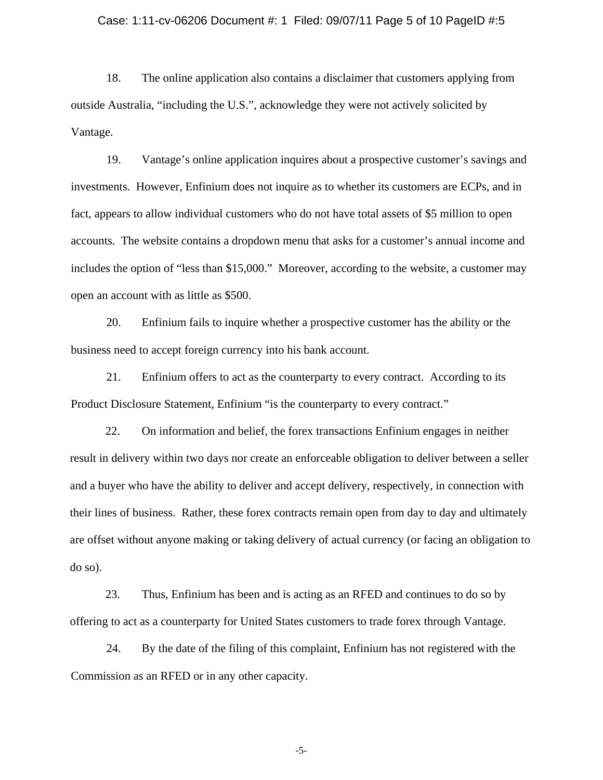#### Case: 1:11-cv-06206 Document #: 1 Filed: 09/07/11 Page 5 of 10 PageID #:5

18. The online application also contains a disclaimer that customers applying from outside Australia, "including the U.S.", acknowledge they were not actively solicited by Vantage.

19. Vantage's online application inquires about a prospective customer's savings and investments. However, Enfinium does not inquire as to whether its customers are ECPs, and in fact, appears to allow individual customers who do not have total assets of \$5 million to open accounts. The website contains a dropdown menu that asks for a customer's annual income and includes the option of "less than \$15,000." Moreover, according to the website, a customer may open an account with as little as \$500.

20. Enfinium fails to inquire whether a prospective customer has the ability or the business need to accept foreign currency into his bank account.

21. Enfinium offers to act as the counterparty to every contract. According to its Product Disclosure Statement, Enfinium "is the counterparty to every contract."

22. On information and belief, the forex transactions Enfinium engages in neither result in delivery within two days nor create an enforceable obligation to deliver between a seller and a buyer who have the ability to deliver and accept delivery, respectively, in connection with their lines of business. Rather, these forex contracts remain open from day to day and ultimately are offset without anyone making or taking delivery of actual currency (or facing an obligation to do so).

23. Thus, Enfinium has been and is acting as an RFED and continues to do so by offering to act as a counterparty for United States customers to trade forex through Vantage.

24. By the date of the filing of this complaint, Enfinium has not registered with the Commission as an RFED or in any other capacity.

-5-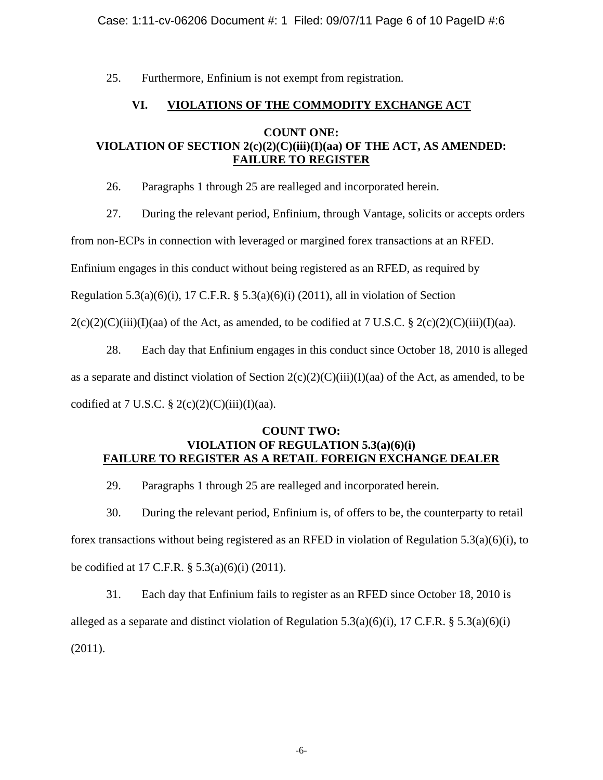Case: 1:11-cv-06206 Document #: 1 Filed: 09/07/11 Page 6 of 10 PageID #:6

25. Furthermore, Enfinium is not exempt from registration.

# **VI. VIOLATIONS OF THE COMMODITY EXCHANGE ACT**

# **COUNT ONE: VIOLATION OF SECTION 2(c)(2)(C)(iii)(I)(aa) OF THE ACT, AS AMENDED: FAILURE TO REGISTER**

26. Paragraphs 1 through 25 are realleged and incorporated herein.

27. During the relevant period, Enfinium, through Vantage, solicits or accepts orders

from non-ECPs in connection with leveraged or margined forex transactions at an RFED.

Enfinium engages in this conduct without being registered as an RFED, as required by

Regulation 5.3(a)(6)(i), 17 C.F.R. § 5.3(a)(6)(i) (2011), all in violation of Section

 $2(c)(2)(C)(iii)(I)(aa)$  of the Act, as amended, to be codified at 7 U.S.C. §  $2(c)(2)(C)(iii)(I)(aa)$ .

28. Each day that Enfinium engages in this conduct since October 18, 2010 is alleged

as a separate and distinct violation of Section  $2(c)(2)(C)(iii)(I)(aa)$  of the Act, as amended, to be

codified at 7 U.S.C.  $\S 2(c)(2)(C)(iii)(I)(aa)$ .

# **COUNT TWO: VIOLATION OF REGULATION 5.3(a)(6)(i) FAILURE TO REGISTER AS A RETAIL FOREIGN EXCHANGE DEALER**

29. Paragraphs 1 through 25 are realleged and incorporated herein.

30. During the relevant period, Enfinium is, of offers to be, the counterparty to retail forex transactions without being registered as an RFED in violation of Regulation 5.3(a)(6)(i), to be codified at 17 C.F.R. § 5.3(a)(6)(i) (2011).

31. Each day that Enfinium fails to register as an RFED since October 18, 2010 is alleged as a separate and distinct violation of Regulation 5.3(a)(6)(i), 17 C.F.R. § 5.3(a)(6)(i) (2011).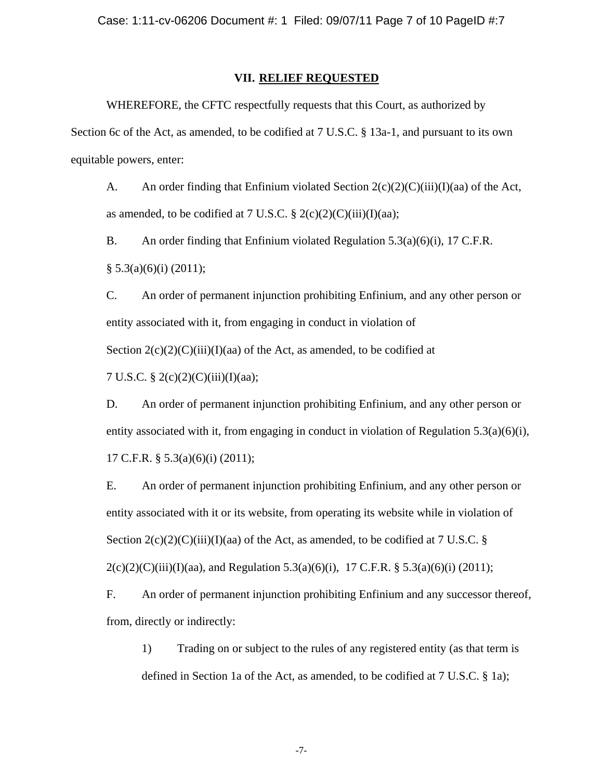#### **VII. RELIEF REQUESTED**

WHEREFORE, the CFTC respectfully requests that this Court, as authorized by Section 6c of the Act, as amended, to be codified at 7 U.S.C. § 13a-1, and pursuant to its own equitable powers, enter:

A. An order finding that Enfinium violated Section  $2(c)(2)(C)(iii)(I)(aa)$  of the Act, as amended, to be codified at 7 U.S.C.  $\S 2(c)(2)(C(iii))(I)(aa);$ 

B. An order finding that Enfinium violated Regulation 5.3(a)(6)(i), 17 C.F.R.  $§ 5.3(a)(6)(i) (2011);$ 

C. An order of permanent injunction prohibiting Enfinium, and any other person or entity associated with it, from engaging in conduct in violation of Section  $2(c)(2)(C)(iii)(I)(aa)$  of the Act, as amended, to be codified at

7 U.S.C. § 2(c)(2)(C)(iii)(I)(aa);

D. An order of permanent injunction prohibiting Enfinium, and any other person or entity associated with it, from engaging in conduct in violation of Regulation  $5.3(a)(6)(i)$ , 17 C.F.R. § 5.3(a)(6)(i) (2011);

E. An order of permanent injunction prohibiting Enfinium, and any other person or entity associated with it or its website, from operating its website while in violation of Section  $2(c)(2)(C(iii))(I)(aa)$  of the Act, as amended, to be codified at 7 U.S.C. §  $2(c)(2)(C)(iii)(I)(aa)$ , and Regulation 5.3(a)(6)(i), 17 C.F.R. § 5.3(a)(6)(i) (2011);

F. An order of permanent injunction prohibiting Enfinium and any successor thereof, from, directly or indirectly:

1) Trading on or subject to the rules of any registered entity (as that term is defined in Section 1a of the Act, as amended, to be codified at 7 U.S.C. § 1a);

-7-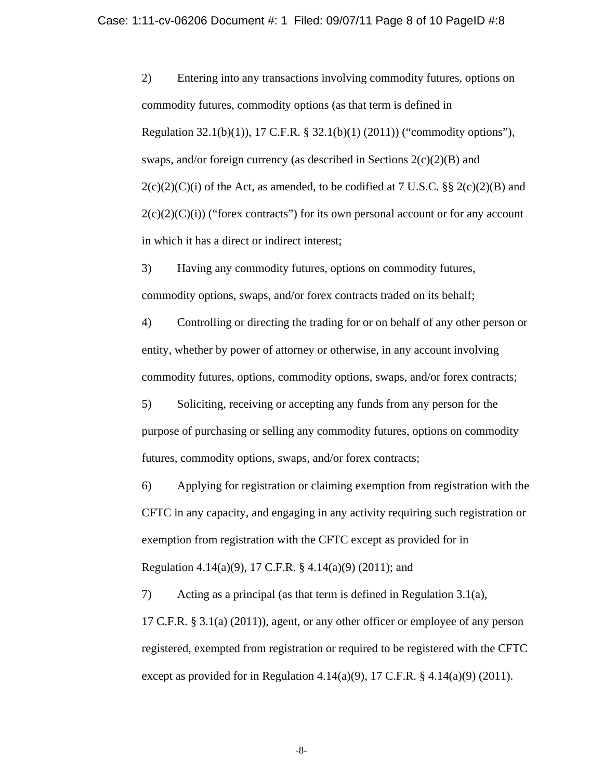2) Entering into any transactions involving commodity futures, options on commodity futures, commodity options (as that term is defined in Regulation 32.1(b)(1)), 17 C.F.R. § 32.1(b)(1) (2011)) ("commodity options"), swaps, and/or foreign currency (as described in Sections  $2(c)(2)(B)$  and  $2(c)(2)(C)(i)$  of the Act, as amended, to be codified at 7 U.S.C. §§  $2(c)(2)(B)$  and  $2(c)(2)(C)(i)$  ("forex contracts") for its own personal account or for any account in which it has a direct or indirect interest;

3) Having any commodity futures, options on commodity futures, commodity options, swaps, and/or forex contracts traded on its behalf;

4) Controlling or directing the trading for or on behalf of any other person or entity, whether by power of attorney or otherwise, in any account involving commodity futures, options, commodity options, swaps, and/or forex contracts;

5) Soliciting, receiving or accepting any funds from any person for the purpose of purchasing or selling any commodity futures, options on commodity futures, commodity options, swaps, and/or forex contracts;

6) Applying for registration or claiming exemption from registration with the CFTC in any capacity, and engaging in any activity requiring such registration or exemption from registration with the CFTC except as provided for in Regulation 4.14(a)(9), 17 C.F.R. § 4.14(a)(9) (2011); and

7) Acting as a principal (as that term is defined in Regulation 3.1(a), 17 C.F.R. § 3.1(a) (2011)), agent, or any other officer or employee of any person registered, exempted from registration or required to be registered with the CFTC except as provided for in Regulation 4.14(a)(9), 17 C.F.R.  $\S$  4.14(a)(9) (2011).

-8-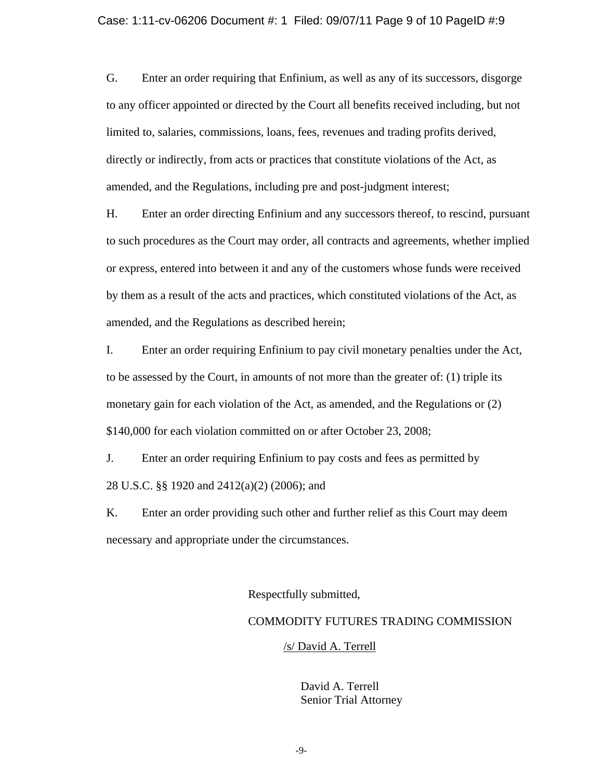#### Case: 1:11-cv-06206 Document #: 1 Filed: 09/07/11 Page 9 of 10 PageID #:9

G. Enter an order requiring that Enfinium, as well as any of its successors, disgorge to any officer appointed or directed by the Court all benefits received including, but not limited to, salaries, commissions, loans, fees, revenues and trading profits derived, directly or indirectly, from acts or practices that constitute violations of the Act, as amended, and the Regulations, including pre and post-judgment interest;

H. Enter an order directing Enfinium and any successors thereof, to rescind, pursuant to such procedures as the Court may order, all contracts and agreements, whether implied or express, entered into between it and any of the customers whose funds were received by them as a result of the acts and practices, which constituted violations of the Act, as amended, and the Regulations as described herein;

I. Enter an order requiring Enfinium to pay civil monetary penalties under the Act, to be assessed by the Court, in amounts of not more than the greater of: (1) triple its monetary gain for each violation of the Act, as amended, and the Regulations or (2) \$140,000 for each violation committed on or after October 23, 2008;

J. Enter an order requiring Enfinium to pay costs and fees as permitted by 28 U.S.C. §§ 1920 and 2412(a)(2) (2006); and

K. Enter an order providing such other and further relief as this Court may deem necessary and appropriate under the circumstances.

Respectfully submitted,

## COMMODITY FUTURES TRADING COMMISSION

#### /s/ David A. Terrell

David A. Terrell Senior Trial Attorney

-9-